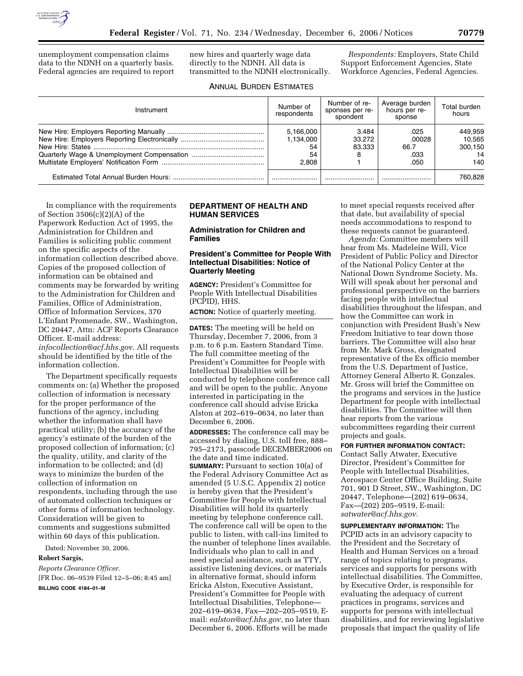

unemployment compensation claims data to the NDNH on a quarterly basis. Federal agencies are required to report new hires and quarterly wage data directly to the NDNH. All data is transmitted to the NDNH electronically.

*Respondents:* Employers, State Child Support Enforcement Agencies, State Workforce Agencies, Federal Agencies.

| Instrument | Number of<br>respondents                    | Number of re-<br>sponses per re-<br>spondent | Average burden<br>hours per re-<br>sponse | Total burden<br>hours                     |
|------------|---------------------------------------------|----------------------------------------------|-------------------------------------------|-------------------------------------------|
|            | 5.166.000<br>1.134.000<br>54<br>54<br>2.808 | 3.484<br>33.272<br>83.333                    | .025<br>.00028<br>66.7<br>.033<br>.050    | 449.959<br>10.565<br>300.150<br>14<br>140 |
|            |                                             |                                              |                                           | 760.828                                   |

In compliance with the requirements of Section 3506(c)(2)(A) of the Paperwork Reduction Act of 1995, the Administration for Children and Families is soliciting public comment on the specific aspects of the information collection described above. Copies of the proposed collection of information can be obtained and comments may be forwarded by writing to the Administration for Children and Families, Office of Administration, Office of Information Services, 370 L'Enfant Promenade, SW., Washington, DC 20447, Attn: ACF Reports Clearance Officer. E-mail address: *infocollection@acf.hhs.gov*. All requests should be identified by the title of the information collection.

The Department specifically requests comments on: (a) Whether the proposed collection of information is necessary for the proper performance of the functions of the agency, including whether the information shall have practical utility; (b) the accuracy of the agency's estimate of the burden of the proposed collection of information; (c) the quality, utility, and clarity of the information to be collected; and (d) ways to minimize the burden of the collection of information on respondents, including through the use of automated collection techniques or other forms of information technology. Consideration will be given to comments and suggestions submitted within 60 days of this publication.

Dated: November 30, 2006.

#### **Robert Sargis,**

*Reports Clearance Officer.*  [FR Doc. 06–9539 Filed 12–5–06; 8:45 am] **BILLING CODE 4184–01–M** 

**DEPARTMENT OF HEALTH AND HUMAN SERVICES** 

**Administration for Children and Families** 

## **President's Committee for People With Intellectual Disabilities: Notice of Quarterly Meeting**

**AGENCY:** President's Committee for People With Intellectual Disabilities (PCPID), HHS.

**ACTION:** Notice of quarterly meeting.

**DATES:** The meeting will be held on Thursday, December 7, 2006, from 3 p.m. to 6 p.m. Eastern Standard Time. The full committee meeting of the President's Committee for People with Intellectual Disabilities will be conducted by telephone conference call and will be open to the public. Anyone interested in participating in the conference call should advise Ericka Alston at 202–619–0634, no later than December 6, 2006.

**ADDRESSES:** The conference call may be accessed by dialing, U.S. toll free, 888– 795–2173, passcode DECEMBER2006 on the date and time indicated. **SUMMARY:** Pursuant to section 10(a) of the Federal Advisory Committee Act as amended (5 U.S.C. Appendix 2) notice is hereby given that the President's Committee for People with Intellectual Disabilities will hold its quarterly meeting by telephone conference call. The conference call will be open to the public to listen, with call-ins limited to the number of telephone lines available. Individuals who plan to call in and need special assistance, such as TTY, assistive listening devices, or materials in alternative format, should inform Ericka Alston, Executive Assistant, President's Committee for People with Intellectual Disabilities, Telephone— 202–619–0634, Fax—202–205–9519, Email: *ealston@acf.hhs.gov*, no later than December 6, 2006. Efforts will be made

to meet special requests received after that date, but availability of special needs accommodations to respond to these requests cannot be guaranteed.

*Agenda:* Committee members will hear from Ms. Madeleine Will, Vice President of Public Policy and Director of the National Policy Center at the National Down Syndrome Society. Ms. Will will speak about her personal and professional perspective on the barriers facing people with intellectual disabilities throughout the lifespan, and how the Committee can work in conjunction with President Bush's New Freedom Initiative to tear down those barriers. The Committee will also hear from Mr. Mark Gross, designated representative of the Ex officio member from the U.S. Department of Justice, Attorney General Alberto R. Gonzales. Mr. Gross will brief the Committee on the programs and services in the Justice Department for people with intellectual disabilities. The Committee will then hear reports from the various subcommittees regarding their current projects and goals.

#### **FOR FURTHER INFORMATION CONTACT:**

Contact Sally Atwater, Executive Director, President's Committee for People with Intellectual Disabilities, Aerospace Center Office Building, Suite 701, 901 D Street, SW., Washington, DC 20447, Telephone—(202) 619–0634, Fax—(202) 205–9519, E-mail: *satwater@acf.hhs.gov.* 

**SUPPLEMENTARY INFORMATION:** The PCPID acts in an advisory capacity to the President and the Secretary of Health and Human Services on a broad range of topics relating to programs, services and supports for persons with intellectual disabilities. The Committee, by Executive Order, is responsible for evaluating the adequacy of current practices in programs, services and supports for persons with intellectual disabilities, and for reviewing legislative proposals that impact the quality of life